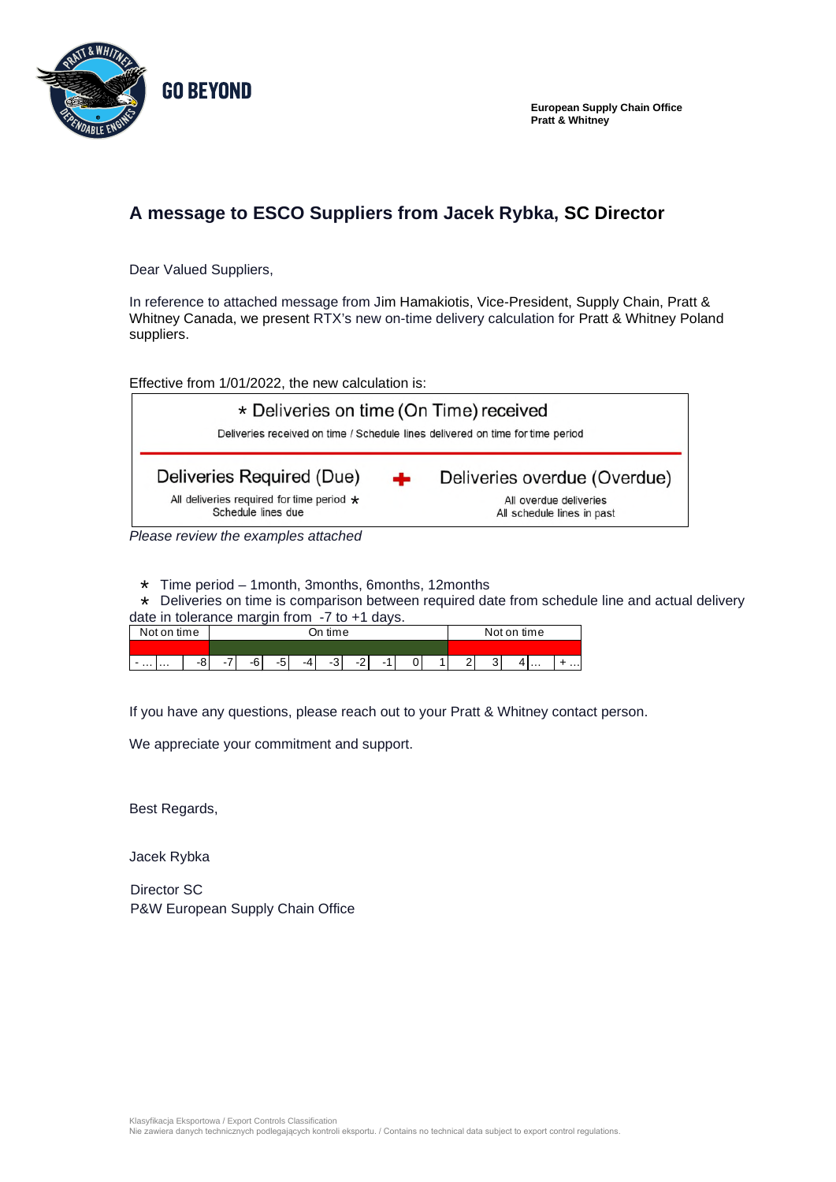

**European Supply Chain Office Pratt & Whitney** 

## **A message to ESCO Suppliers from Jacek Rybka, SC Director**

Dear Valued Suppliers,

In reference to attached message from Jim Hamakiotis, Vice-President, Supply Chain, Pratt & Whitney Canada, we present RTX's new on-time delivery calculation for Pratt & Whitney Poland suppliers.

Effective from 1/01/2022, the new calculation is:



*Please review the examples attached* 

- Time period 1month, 3months, 6months, 12months \*
- \* Deliveries on time is comparison between required date from schedule line and actual delivery

| date in tolerance margin from $-7$ to $+1$ days. |             |  |         |  |    |  |  |  |  |  |  |             |  |  |  |  |  |
|--------------------------------------------------|-------------|--|---------|--|----|--|--|--|--|--|--|-------------|--|--|--|--|--|
|                                                  | Not on time |  | On time |  |    |  |  |  |  |  |  | Not on time |  |  |  |  |  |
|                                                  |             |  |         |  |    |  |  |  |  |  |  |             |  |  |  |  |  |
| $\cdots$                                         |             |  |         |  | -5 |  |  |  |  |  |  |             |  |  |  |  |  |

If you have any questions, please reach out to your Pratt & Whitney contact person.

We appreciate your commitment and support.

Best Regards,

Jacek Rybka

Director SC P&W European Supply Chain Office